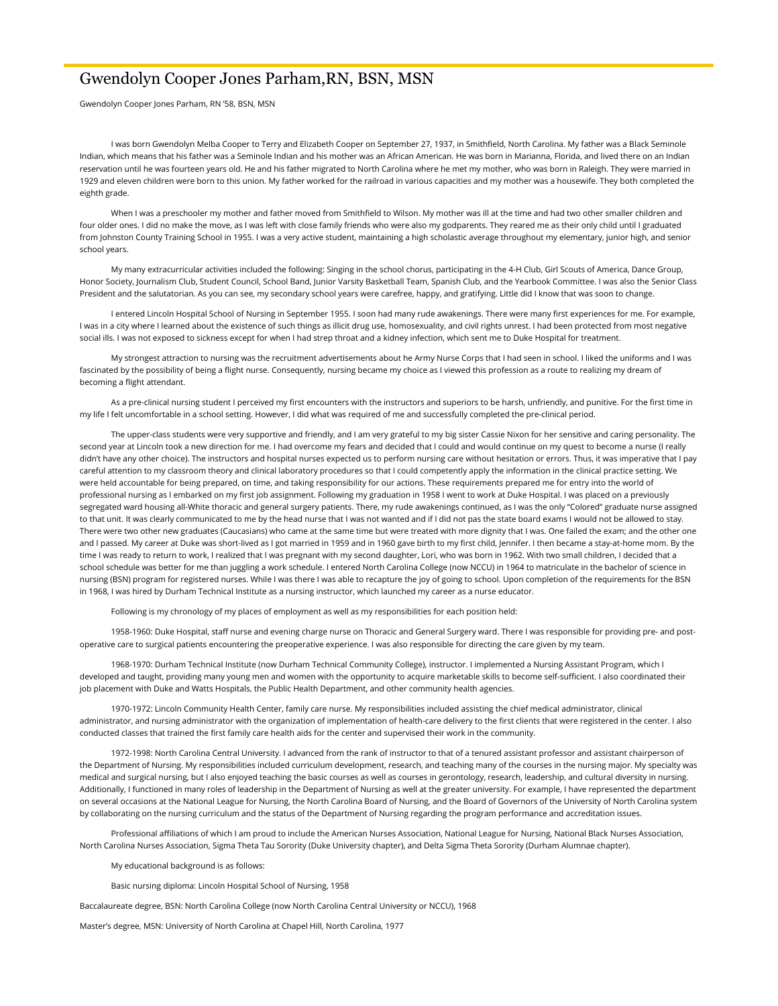## Gwendolyn Cooper Jones Parham,RN, BSN, MSN

Gwendolyn Cooper Jones Parham, RN '58, BSN, MSN

 I was born Gwendolyn Melba Cooper to Terry and Elizabeth Cooper on September 27, 1937, in Smithfield, North Carolina. My father was a Black Seminole Indian, which means that his father was a Seminole Indian and his mother was an African American. He was born in Marianna, Florida, and lived there on an Indian reservation until he was fourteen years old. He and his father migrated to North Carolina where he met my mother, who was born in Raleigh. They were married in 1929 and eleven children were born to this union. My father worked for the railroad in various capacities and my mother was a housewife. They both completed the eighth grade.

 When I was a preschooler my mother and father moved from Smithfield to Wilson. My mother was ill at the time and had two other smaller children and four older ones. I did no make the move, as I was left with close family friends who were also my godparents. They reared me as their only child until I graduated from Johnston County Training School in 1955. I was a very active student, maintaining a high scholastic average throughout my elementary, junior high, and senior school years.

 My many extracurricular activities included the following: Singing in the school chorus, participating in the 4-H Club, Girl Scouts of America, Dance Group, Honor Society, Journalism Club, Student Council, School Band, Junior Varsity Basketball Team, Spanish Club, and the Yearbook Committee. I was also the Senior Class President and the salutatorian. As you can see, my secondary school years were carefree, happy, and gratifying. Little did I know that was soon to change.

 I entered Lincoln Hospital School of Nursing in September 1955. I soon had many rude awakenings. There were many first experiences for me. For example, I was in a city where I learned about the existence of such things as illicit drug use, homosexuality, and civil rights unrest. I had been protected from most negative social ills. I was not exposed to sickness except for when I had strep throat and a kidney infection, which sent me to Duke Hospital for treatment.

 My strongest attraction to nursing was the recruitment advertisements about he Army Nurse Corps that I had seen in school. I liked the uniforms and I was fascinated by the possibility of being a flight nurse. Consequently, nursing became my choice as I viewed this profession as a route to realizing my dream of becoming a flight attendant.

As a pre-clinical nursing student I perceived my first encounters with the instructors and superiors to be harsh, unfriendly, and punitive. For the first time in my life I felt uncomfortable in a school setting. However, I did what was required of me and successfully completed the pre-clinical period.

 The upper-class students were very supportive and friendly, and I am very grateful to my big sister Cassie Nixon for her sensitive and caring personality. The second year at Lincoln took a new direction for me. I had overcome my fears and decided that I could and would continue on my quest to become a nurse (I really didn't have any other choice). The instructors and hospital nurses expected us to perform nursing care without hesitation or errors. Thus, it was imperative that I pay careful attention to my classroom theory and clinical laboratory procedures so that I could competently apply the information in the clinical practice setting. We were held accountable for being prepared, on time, and taking responsibility for our actions. These requirements prepared me for entry into the world of professional nursing as I embarked on my first job assignment. Following my graduation in 1958 I went to work at Duke Hospital. I was placed on a previously segregated ward housing all-White thoracic and general surgery patients. There, my rude awakenings continued, as I was the only "Colored" graduate nurse assigned to that unit. It was clearly communicated to me by the head nurse that I was not wanted and if I did not pas the state board exams I would not be allowed to stay. There were two other new graduates (Caucasians) who came at the same time but were treated with more dignity that I was. One failed the exam; and the other one and I passed. My career at Duke was short-lived as I got married in 1959 and in 1960 gave birth to my first child, Jennifer. I then became a stay-at-home mom. By the time I was ready to return to work, I realized that I was pregnant with my second daughter, Lori, who was born in 1962. With two small children, I decided that a school schedule was better for me than juggling a work schedule. I entered North Carolina College (now NCCU) in 1964 to matriculate in the bachelor of science in nursing (BSN) program for registered nurses. While I was there I was able to recapture the joy of going to school. Upon completion of the requirements for the BSN in 1968, I was hired by Durham Technical Institute as a nursing instructor, which launched my career as a nurse educator.

Following is my chronology of my places of employment as well as my responsibilities for each position held:

 1958-1960: Duke Hospital, staff nurse and evening charge nurse on Thoracic and General Surgery ward. There I was responsible for providing pre- and postoperative care to surgical patients encountering the preoperative experience. I was also responsible for directing the care given by my team.

 1968-1970: Durham Technical Institute (now Durham Technical Community College), instructor. I implemented a Nursing Assistant Program, which I developed and taught, providing many young men and women with the opportunity to acquire marketable skills to become self-sufficient. I also coordinated their job placement with Duke and Watts Hospitals, the Public Health Department, and other community health agencies.

 1970-1972: Lincoln Community Health Center, family care nurse. My responsibilities included assisting the chief medical administrator, clinical administrator, and nursing administrator with the organization of implementation of health-care delivery to the first clients that were registered in the center. I also conducted classes that trained the first family care health aids for the center and supervised their work in the community.

 1972-1998: North Carolina Central University. I advanced from the rank of instructor to that of a tenured assistant professor and assistant chairperson of the Department of Nursing. My responsibilities included curriculum development, research, and teaching many of the courses in the nursing major. My specialty was medical and surgical nursing, but I also enjoyed teaching the basic courses as well as courses in gerontology, research, leadership, and cultural diversity in nursing. Additionally, I functioned in many roles of leadership in the Department of Nursing as well at the greater university. For example, I have represented the department on several occasions at the National League for Nursing, the North Carolina Board of Nursing, and the Board of Governors of the University of North Carolina system by collaborating on the nursing curriculum and the status of the Department of Nursing regarding the program performance and accreditation issues.

Professional affiliations of which I am proud to include the American Nurses Association, National League for Nursing, National Black Nurses Association, North Carolina Nurses Association, Sigma Theta Tau Sorority (Duke University chapter), and Delta Sigma Theta Sorority (Durham Alumnae chapter).

My educational background is as follows:

Basic nursing diploma: Lincoln Hospital School of Nursing, 1958

Baccalaureate degree, BSN: North Carolina College (now North Carolina Central University or NCCU), 1968

Master's degree, MSN: University of North Carolina at Chapel Hill, North Carolina, 1977